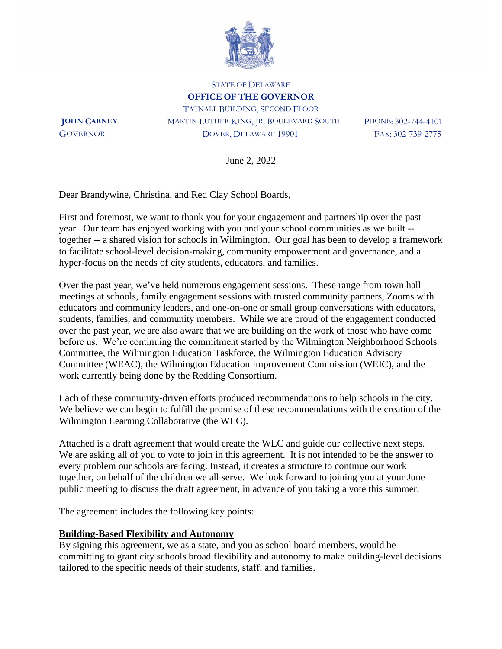

STATE OF DELAWARE **OFFICE OF THE GOVERNOR** TATNALL BUILDING, SECOND FLOOR **JOHN CARNEY** MARTIN LUTHER KING, JR. BOULEVARD SOUTH PHONE: 302-744-4101 GOVERNOR DOVER, DELAWARE 19901 FAX: 302-739-2775

June 2, 2022

Dear Brandywine, Christina, and Red Clay School Boards,

First and foremost, we want to thank you for your engagement and partnership over the past year. Our team has enjoyed working with you and your school communities as we built - together -- a shared vision for schools in Wilmington. Our goal has been to develop a framework to facilitate school-level decision-making, community empowerment and governance, and a hyper-focus on the needs of city students, educators, and families.

Over the past year, we've held numerous engagement sessions. These range from town hall meetings at schools, family engagement sessions with trusted community partners, Zooms with educators and community leaders, and one-on-one or small group conversations with educators, students, families, and community members. While we are proud of the engagement conducted over the past year, we are also aware that we are building on the work of those who have come before us. We're continuing the commitment started by the Wilmington Neighborhood Schools Committee, the Wilmington Education Taskforce, the Wilmington Education Advisory Committee (WEAC), the Wilmington Education Improvement Commission (WEIC), and the work currently being done by the Redding Consortium.

Each of these community-driven efforts produced recommendations to help schools in the city. We believe we can begin to fulfill the promise of these recommendations with the creation of the Wilmington Learning Collaborative (the WLC).

Attached is a draft agreement that would create the WLC and guide our collective next steps. We are asking all of you to vote to join in this agreement. It is not intended to be the answer to every problem our schools are facing. Instead, it creates a structure to continue our work together, on behalf of the children we all serve. We look forward to joining you at your June public meeting to discuss the draft agreement, in advance of you taking a vote this summer.

The agreement includes the following key points:

#### **Building-Based Flexibility and Autonomy**

By signing this agreement, we as a state, and you as school board members, would be committing to grant city schools broad flexibility and autonomy to make building-level decisions tailored to the specific needs of their students, staff, and families.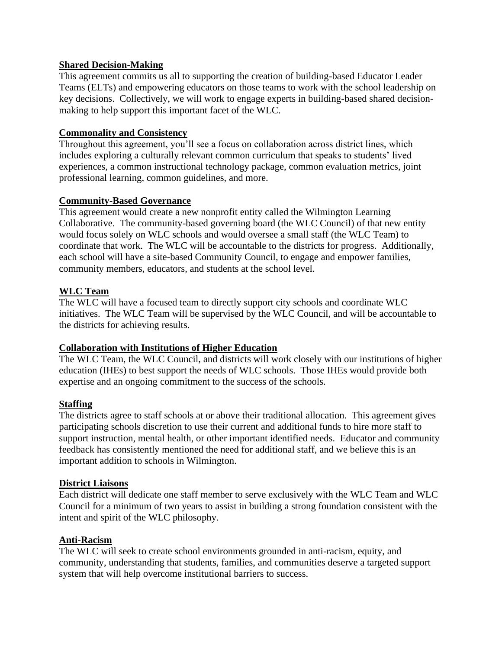## **Shared Decision-Making**

This agreement commits us all to supporting the creation of building-based Educator Leader Teams (ELTs) and empowering educators on those teams to work with the school leadership on key decisions. Collectively, we will work to engage experts in building-based shared decisionmaking to help support this important facet of the WLC.

## **Commonality and Consistency**

Throughout this agreement, you'll see a focus on collaboration across district lines, which includes exploring a culturally relevant common curriculum that speaks to students' lived experiences, a common instructional technology package, common evaluation metrics, joint professional learning, common guidelines, and more.

## **Community-Based Governance**

This agreement would create a new nonprofit entity called the Wilmington Learning Collaborative. The community-based governing board (the WLC Council) of that new entity would focus solely on WLC schools and would oversee a small staff (the WLC Team) to coordinate that work. The WLC will be accountable to the districts for progress. Additionally, each school will have a site-based Community Council, to engage and empower families, community members, educators, and students at the school level.

## **WLC Team**

The WLC will have a focused team to directly support city schools and coordinate WLC initiatives. The WLC Team will be supervised by the WLC Council, and will be accountable to the districts for achieving results.

#### **Collaboration with Institutions of Higher Education**

The WLC Team, the WLC Council, and districts will work closely with our institutions of higher education (IHEs) to best support the needs of WLC schools. Those IHEs would provide both expertise and an ongoing commitment to the success of the schools.

# **Staffing**

The districts agree to staff schools at or above their traditional allocation. This agreement gives participating schools discretion to use their current and additional funds to hire more staff to support instruction, mental health, or other important identified needs. Educator and community feedback has consistently mentioned the need for additional staff, and we believe this is an important addition to schools in Wilmington.

#### **District Liaisons**

Each district will dedicate one staff member to serve exclusively with the WLC Team and WLC Council for a minimum of two years to assist in building a strong foundation consistent with the intent and spirit of the WLC philosophy.

#### **Anti-Racism**

The WLC will seek to create school environments grounded in anti-racism, equity, and community, understanding that students, families, and communities deserve a targeted support system that will help overcome institutional barriers to success.